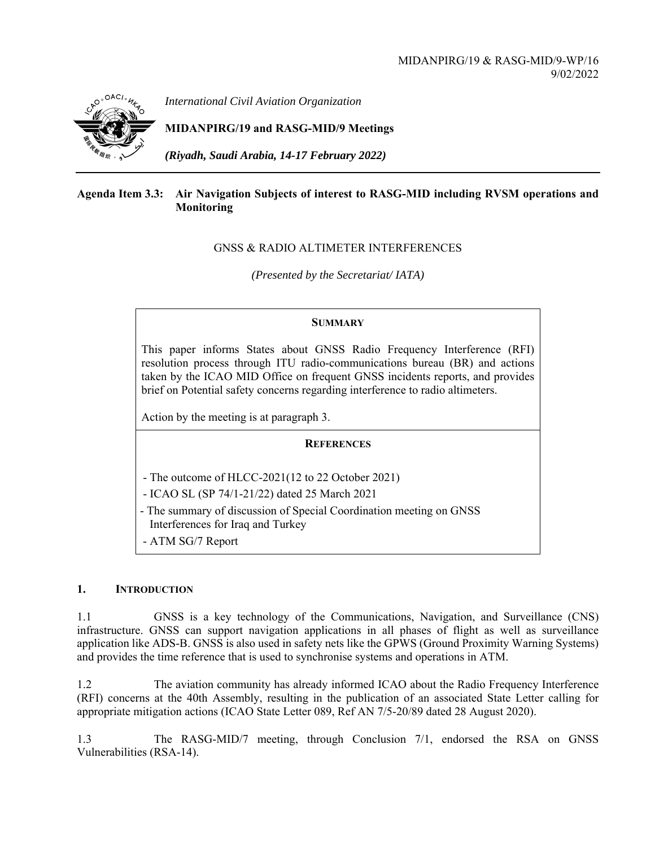

*International Civil Aviation Organization*

**MIDANPIRG/19 and RASG-MID/9 Meetings** 

*(Riyadh, Saudi Arabia, 14-17 February 2022)* 

# **Agenda Item 3.3: Air Navigation Subjects of interest to RASG-MID including RVSM operations and Monitoring**

# GNSS & RADIO ALTIMETER INTERFERENCES

*(Presented by the Secretariat/ IATA)* 

# **SUMMARY**

This paper informs States about GNSS Radio Frequency Interference (RFI) resolution process through ITU radio-communications bureau (BR) and actions taken by the ICAO MID Office on frequent GNSS incidents reports, and provides brief on Potential safety concerns regarding interference to radio altimeters.

Action by the meeting is at paragraph 3.

# **REFERENCES**

- The outcome of HLCC-2021(12 to 22 October 2021)
- ICAO SL (SP 74/1-21/22) dated 25 March 2021
- The summary of discussion of Special Coordination meeting on GNSS Interferences for Iraq and Turkey
- ATM SG/7 Report

# **1. INTRODUCTION**

1.1 GNSS is a key technology of the Communications, Navigation, and Surveillance (CNS) infrastructure. GNSS can support navigation applications in all phases of flight as well as surveillance application like ADS-B. GNSS is also used in safety nets like the GPWS (Ground Proximity Warning Systems) and provides the time reference that is used to synchronise systems and operations in ATM.

1.2 The aviation community has already informed ICAO about the Radio Frequency Interference (RFI) concerns at the 40th Assembly, resulting in the publication of an associated State Letter calling for appropriate mitigation actions (ICAO State Letter 089, Ref AN 7/5-20/89 dated 28 August 2020).

1.3 The RASG-MID/7 meeting, through Conclusion 7/1, endorsed the RSA on GNSS Vulnerabilities (RSA-14).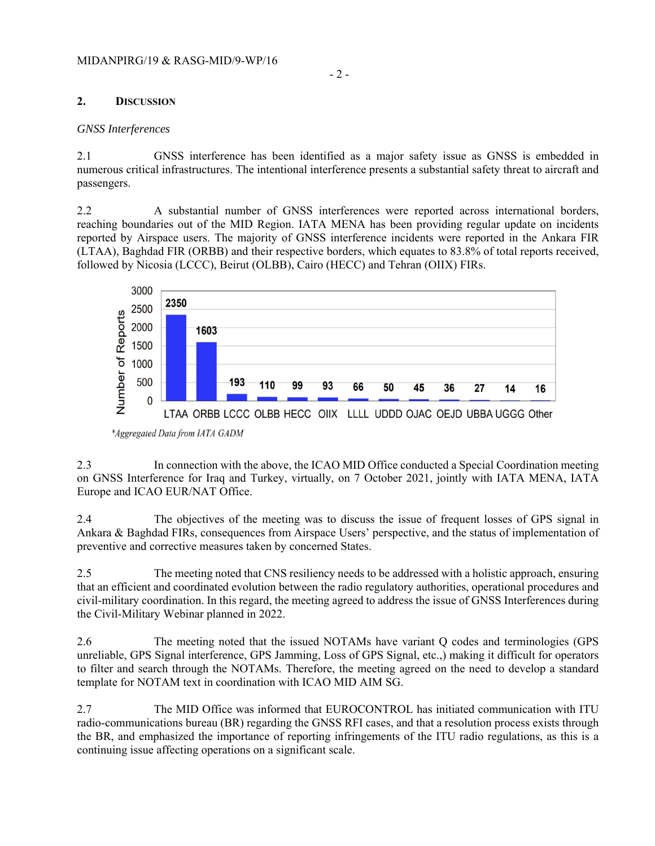# **2. DISCUSSION**

#### *GNSS Interferences*

2.1 GNSS interference has been identified as a major safety issue as GNSS is embedded in numerous critical infrastructures. The intentional interference presents a substantial safety threat to aircraft and passengers.

2.2 A substantial number of GNSS interferences were reported across international borders, reaching boundaries out of the MID Region. IATA MENA has been providing regular update on incidents reported by Airspace users. The majority of GNSS interference incidents were reported in the Ankara FIR (LTAA), Baghdad FIR (ORBB) and their respective borders, which equates to 83.8% of total reports received, followed by Nicosia (LCCC), Beirut (OLBB), Cairo (HECC) and Tehran (OIIX) FIRs.



\*Aggregated Data from IATA GADM

2.3 In connection with the above, the ICAO MID Office conducted a Special Coordination meeting on GNSS Interference for Iraq and Turkey, virtually, on 7 October 2021, jointly with IATA MENA, IATA Europe and ICAO EUR/NAT Office.

2.4 The objectives of the meeting was to discuss the issue of frequent losses of GPS signal in Ankara & Baghdad FIRs, consequences from Airspace Users' perspective, and the status of implementation of preventive and corrective measures taken by concerned States.

2.5 The meeting noted that CNS resiliency needs to be addressed with a holistic approach, ensuring that an efficient and coordinated evolution between the radio regulatory authorities, operational procedures and civil-military coordination. In this regard, the meeting agreed to address the issue of GNSS Interferences during the Civil-Military Webinar planned in 2022.

2.6 The meeting noted that the issued NOTAMs have variant Q codes and terminologies (GPS unreliable, GPS Signal interference, GPS Jamming, Loss of GPS Signal, etc.,) making it difficult for operators to filter and search through the NOTAMs. Therefore, the meeting agreed on the need to develop a standard template for NOTAM text in coordination with ICAO MID AIM SG.

2.7 The MID Office was informed that EUROCONTROL has initiated communication with ITU radio-communications bureau (BR) regarding the GNSS RFI cases, and that a resolution process exists through the BR, and emphasized the importance of reporting infringements of the ITU radio regulations, as this is a continuing issue affecting operations on a significant scale.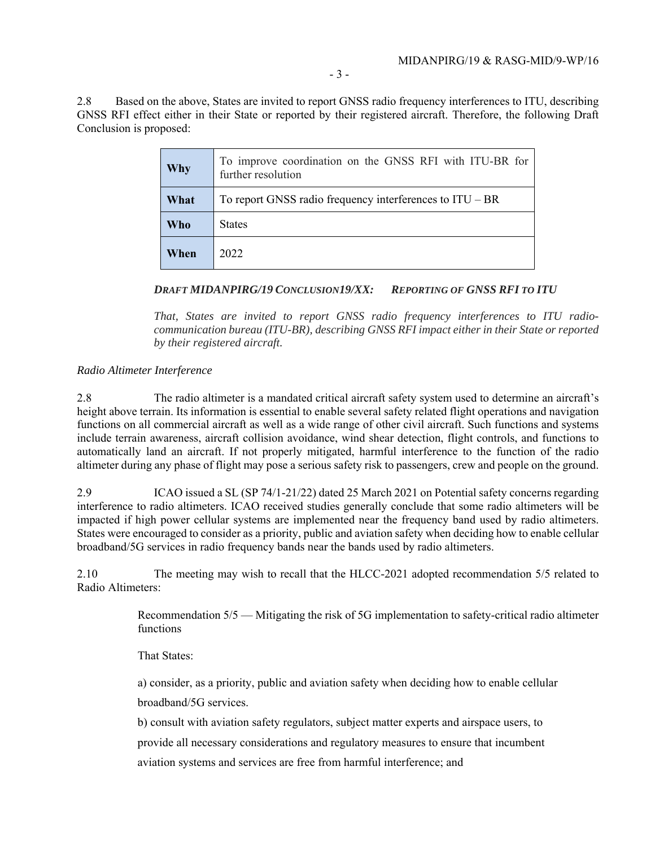2.8 Based on the above, States are invited to report GNSS radio frequency interferences to ITU, describing GNSS RFI effect either in their State or reported by their registered aircraft. Therefore, the following Draft Conclusion is proposed:

| Why        | To improve coordination on the GNSS RFI with ITU-BR for<br>further resolution |
|------------|-------------------------------------------------------------------------------|
| What       | To report GNSS radio frequency interferences to $ITU - BR$                    |
| <b>Who</b> | <b>States</b>                                                                 |
| When       | 2022                                                                          |

### *DRAFT MIDANPIRG/19 CONCLUSION19/XX: REPORTING OF GNSS RFI TO ITU*

*That, States are invited to report GNSS radio frequency interferences to ITU radiocommunication bureau (ITU-BR), describing GNSS RFI impact either in their State or reported by their registered aircraft.* 

#### *Radio Altimeter Interference*

2.8 The radio altimeter is a mandated critical aircraft safety system used to determine an aircraft's height above terrain. Its information is essential to enable several safety related flight operations and navigation functions on all commercial aircraft as well as a wide range of other civil aircraft. Such functions and systems include terrain awareness, aircraft collision avoidance, wind shear detection, flight controls, and functions to automatically land an aircraft. If not properly mitigated, harmful interference to the function of the radio altimeter during any phase of flight may pose a serious safety risk to passengers, crew and people on the ground.

2.9 ICAO issued a SL (SP 74/1-21/22) dated 25 March 2021 on Potential safety concerns regarding interference to radio altimeters. ICAO received studies generally conclude that some radio altimeters will be impacted if high power cellular systems are implemented near the frequency band used by radio altimeters. States were encouraged to consider as a priority, public and aviation safety when deciding how to enable cellular broadband/5G services in radio frequency bands near the bands used by radio altimeters.

2.10 The meeting may wish to recall that the HLCC-2021 adopted recommendation 5/5 related to Radio Altimeters:

> Recommendation 5/5 — Mitigating the risk of 5G implementation to safety-critical radio altimeter functions

That States:

a) consider, as a priority, public and aviation safety when deciding how to enable cellular

broadband/5G services.

b) consult with aviation safety regulators, subject matter experts and airspace users, to provide all necessary considerations and regulatory measures to ensure that incumbent aviation systems and services are free from harmful interference; and